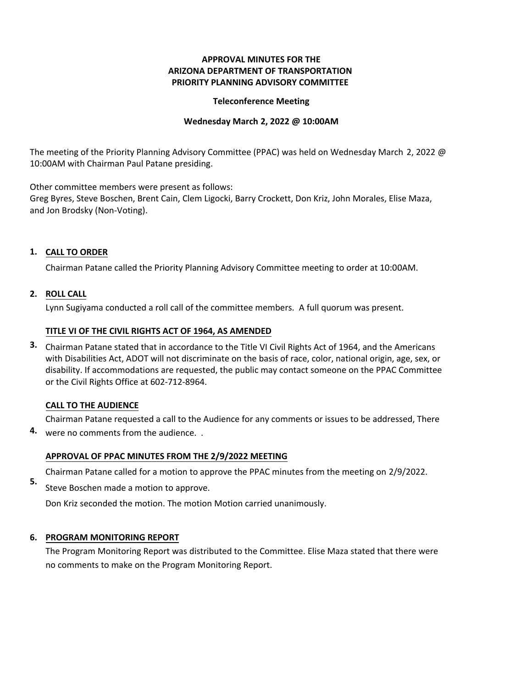# **APPROVAL MINUTES FOR THE ARIZONA DEPARTMENT OF TRANSPORTATION PRIORITY PLANNING ADVISORY COMMITTEE**

### **Teleconference Meeting**

### **Wednesday March 2, 2022 @ 10:00AM**

The meeting of the Priority Planning Advisory Committee (PPAC) was held on Wednesday March 2, 2022 @ 10:00AM with Chairman Paul Patane presiding.

Other committee members were present as follows:

Greg Byres, Steve Boschen, Brent Cain, Clem Ligocki, Barry Crockett, Don Kriz, John Morales, Elise Maza, and Jon Brodsky (Non-Voting).

## **CALL TO ORDER 1.**

Chairman Patane called the Priority Planning Advisory Committee meeting to order at 10:00AM.

# **ROLL CALL 2.**

Lynn Sugiyama conducted a roll call of the committee members. A full quorum was present.

## **TITLE VI OF THE CIVIL RIGHTS ACT OF 1964, AS AMENDED**

Chairman Patane stated that in accordance to the Title VI Civil Rights Act of 1964, and the Americans **3.** with Disabilities Act, ADOT will not discriminate on the basis of race, color, national origin, age, sex, or disability. If accommodations are requested, the public may contact someone on the PPAC Committee or the Civil Rights Office at 602-712-8964.

# **CALL TO THE AUDIENCE**

Chairman Patane requested a call to the Audience for any comments or issues to be addressed, There were no comments from the audience. . **4.**

# **APPROVAL OF PPAC MINUTES FROM THE 2/9/2022 MEETING**

- Chairman Patane called for a motion to approve the PPAC minutes from the meeting on 2/9/2022.
- Steve Boschen made a motion to approve. **5.**

Don Kriz seconded the motion. The motion Motion carried unanimously.

## **6. PROGRAM MONITORING REPORT**

The Program Monitoring Report was distributed to the Committee. Elise Maza stated that there were no comments to make on the Program Monitoring Report.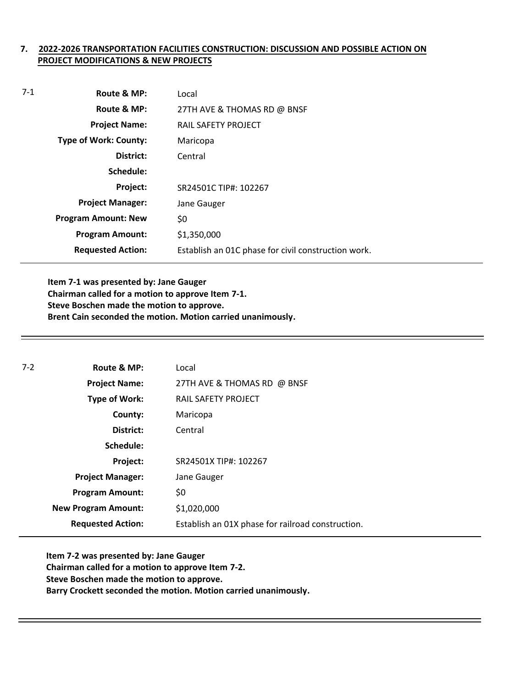# **7. 2022-2026 TRANSPORTATION FACILITIES CONSTRUCTION: DISCUSSION AND POSSIBLE ACTION ON PROJECT MODIFICATIONS & NEW PROJECTS**

| Route & MP:                  | Local                                               |
|------------------------------|-----------------------------------------------------|
| Route & MP:                  | 27TH AVE & THOMAS RD @ BNSF                         |
| <b>Project Name:</b>         | <b>RAIL SAFETY PROJECT</b>                          |
| <b>Type of Work: County:</b> | Maricopa                                            |
| District:                    | Central                                             |
| Schedule:                    |                                                     |
| Project:                     | SR24501C TIP#: 102267                               |
| <b>Project Manager:</b>      | Jane Gauger                                         |
| <b>Program Amount: New</b>   | \$0                                                 |
| <b>Program Amount:</b>       | \$1,350,000                                         |
| <b>Requested Action:</b>     | Establish an O1C phase for civil construction work. |
|                              |                                                     |

**Item 7-1 was presented by: Jane Gauger Chairman called for a motion to approve Item 7-1. Steve Boschen made the motion to approve. Brent Cain seconded the motion. Motion carried unanimously.**

| $7 - 2$ | Route & MP:                | Local                                             |
|---------|----------------------------|---------------------------------------------------|
|         | <b>Project Name:</b>       | 27TH AVE & THOMAS RD @ BNSF                       |
|         | <b>Type of Work:</b>       | RAIL SAFETY PROJECT                               |
|         | County:                    | Maricopa                                          |
|         | District:                  | Central                                           |
|         | Schedule:                  |                                                   |
|         | Project:                   | SR24501X TIP#: 102267                             |
|         | <b>Project Manager:</b>    | Jane Gauger                                       |
|         | <b>Program Amount:</b>     | \$0                                               |
|         | <b>New Program Amount:</b> | \$1,020,000                                       |
|         | <b>Requested Action:</b>   | Establish an 01X phase for railroad construction. |

**Item 7-2 was presented by: Jane Gauger Chairman called for a motion to approve Item 7-2. Steve Boschen made the motion to approve. Barry Crockett seconded the motion. Motion carried unanimously.**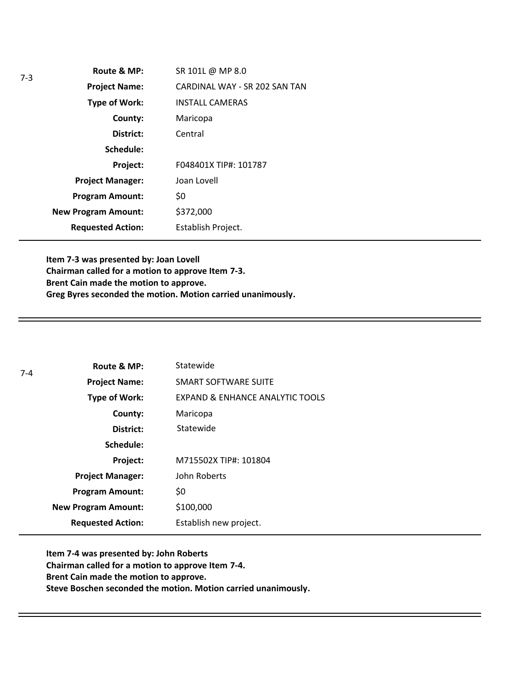| Route & MP:                | SR 101L @ MP 8.0              |
|----------------------------|-------------------------------|
| <b>Project Name:</b>       | CARDINAL WAY - SR 202 SAN TAN |
| <b>Type of Work:</b>       | <b>INSTALL CAMERAS</b>        |
| County:                    | Maricopa                      |
| District:                  | Central                       |
| Schedule:                  |                               |
| Project:                   | F048401X TIP#: 101787         |
| <b>Project Manager:</b>    | Joan Lovell                   |
| <b>Program Amount:</b>     | \$0                           |
| <b>New Program Amount:</b> | \$372,000                     |
| <b>Requested Action:</b>   | Establish Project.            |

**Item 7-3 was presented by: Joan Lovell Chairman called for a motion to approve Item 7-3. Brent Cain made the motion to approve. Greg Byres seconded the motion. Motion carried unanimously.**

| $7 - 4$ | Route & MP:                | Statewide                                  |
|---------|----------------------------|--------------------------------------------|
|         | <b>Project Name:</b>       | SMART SOFTWARE SUITE                       |
|         | <b>Type of Work:</b>       | <b>EXPAND &amp; ENHANCE ANALYTIC TOOLS</b> |
|         | County:                    | Maricopa                                   |
|         | District:                  | Statewide                                  |
|         | Schedule:                  |                                            |
|         | Project:                   | M715502X TIP#: 101804                      |
|         | <b>Project Manager:</b>    | John Roberts                               |
|         | <b>Program Amount:</b>     | \$0                                        |
|         | <b>New Program Amount:</b> | \$100,000                                  |
|         | <b>Requested Action:</b>   | Establish new project.                     |

**Item 7-4 was presented by: John Roberts Chairman called for a motion to approve Item 7-4. Brent Cain made the motion to approve. Steve Boschen seconded the motion. Motion carried unanimously.**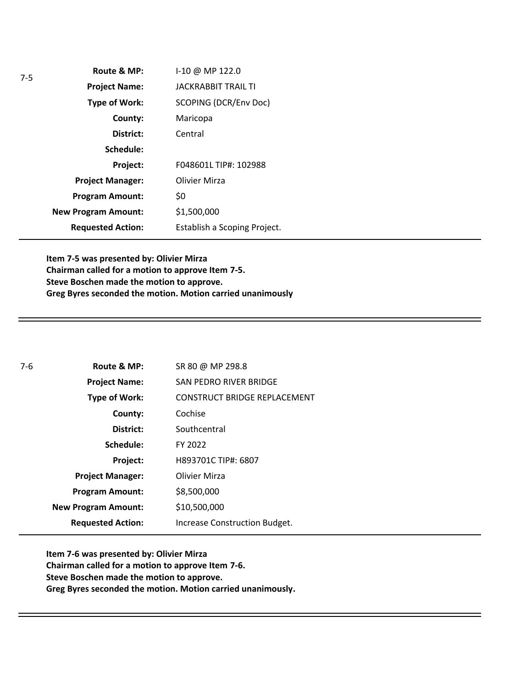| Route & MP:                | I-10 @ MP 122.0              |
|----------------------------|------------------------------|
| <b>Project Name:</b>       | <b>JACKRABBIT TRAIL TI</b>   |
| <b>Type of Work:</b>       | <b>SCOPING (DCR/Env Doc)</b> |
| County:                    | Maricopa                     |
| District:                  | Central                      |
| Schedule:                  |                              |
| Project:                   | F048601L TIP#: 102988        |
| <b>Project Manager:</b>    | Olivier Mirza                |
| <b>Program Amount:</b>     | \$0                          |
| <b>New Program Amount:</b> | \$1,500,000                  |
| <b>Requested Action:</b>   | Establish a Scoping Project. |

**Item 7-5 was presented by: Olivier Mirza Chairman called for a motion to approve Item 7-5. Steve Boschen made the motion to approve. Greg Byres seconded the motion. Motion carried unanimously**

| 7-6 | Route & MP:                | SR 80 @ MP 298.8                    |
|-----|----------------------------|-------------------------------------|
|     | <b>Project Name:</b>       | SAN PEDRO RIVER BRIDGE              |
|     | <b>Type of Work:</b>       | <b>CONSTRUCT BRIDGE REPLACEMENT</b> |
|     | County:                    | Cochise                             |
|     | District:                  | Southcentral                        |
|     | Schedule:                  | FY 2022                             |
|     | Project:                   | H893701C TIP#: 6807                 |
|     | <b>Project Manager:</b>    | Olivier Mirza                       |
|     | <b>Program Amount:</b>     | \$8,500,000                         |
|     | <b>New Program Amount:</b> | \$10,500,000                        |
|     | <b>Requested Action:</b>   | Increase Construction Budget.       |

**Item 7-6 was presented by: Olivier Mirza Chairman called for a motion to approve Item 7-6. Steve Boschen made the motion to approve. Greg Byres seconded the motion. Motion carried unanimously.**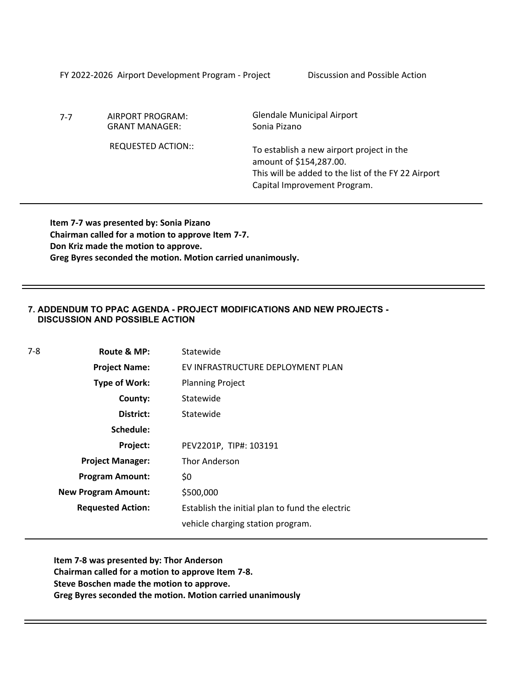FY 2022-2026 Airport Development Program - Project Discussion and Possible Action

7-7 AIRPORT PROGRAM: GRANT MANAGER:

REQUESTED ACTION::

Glendale Municipal Airport Sonia Pizano

To establish a new airport project in the amount of \$154,287.00. This will be added to the list of the FY 22 Airport Capital Improvement Program.

**Item 7-7 was presented by: Sonia Pizano Chairman called for a motion to approve Item 7-7. Don Kriz made the motion to approve. Greg Byres seconded the motion. Motion carried unanimously.**

## **7. ADDENDUM TO PPAC AGENDA - PROJECT MODIFICATIONS AND NEW PROJECTS - DISCUSSION AND POSSIBLE ACTION**

| 7-8 | Route & MP:                | Statewide                                       |
|-----|----------------------------|-------------------------------------------------|
|     | <b>Project Name:</b>       | EV INFRASTRUCTURE DEPLOYMENT PLAN               |
|     | Type of Work:              | <b>Planning Project</b>                         |
|     | County:                    | Statewide                                       |
|     | District:                  | Statewide                                       |
|     | Schedule:                  |                                                 |
|     | Project:                   | PEV2201P, TIP#: 103191                          |
|     | <b>Project Manager:</b>    | <b>Thor Anderson</b>                            |
|     | <b>Program Amount:</b>     | \$0                                             |
|     | <b>New Program Amount:</b> | \$500,000                                       |
|     | <b>Requested Action:</b>   | Establish the initial plan to fund the electric |
|     |                            | vehicle charging station program.               |

**Item 7-8 was presented by: Thor Anderson Chairman called for a motion to approve Item 7-8. Steve Boschen made the motion to approve. Greg Byres seconded the motion. Motion carried unanimously**